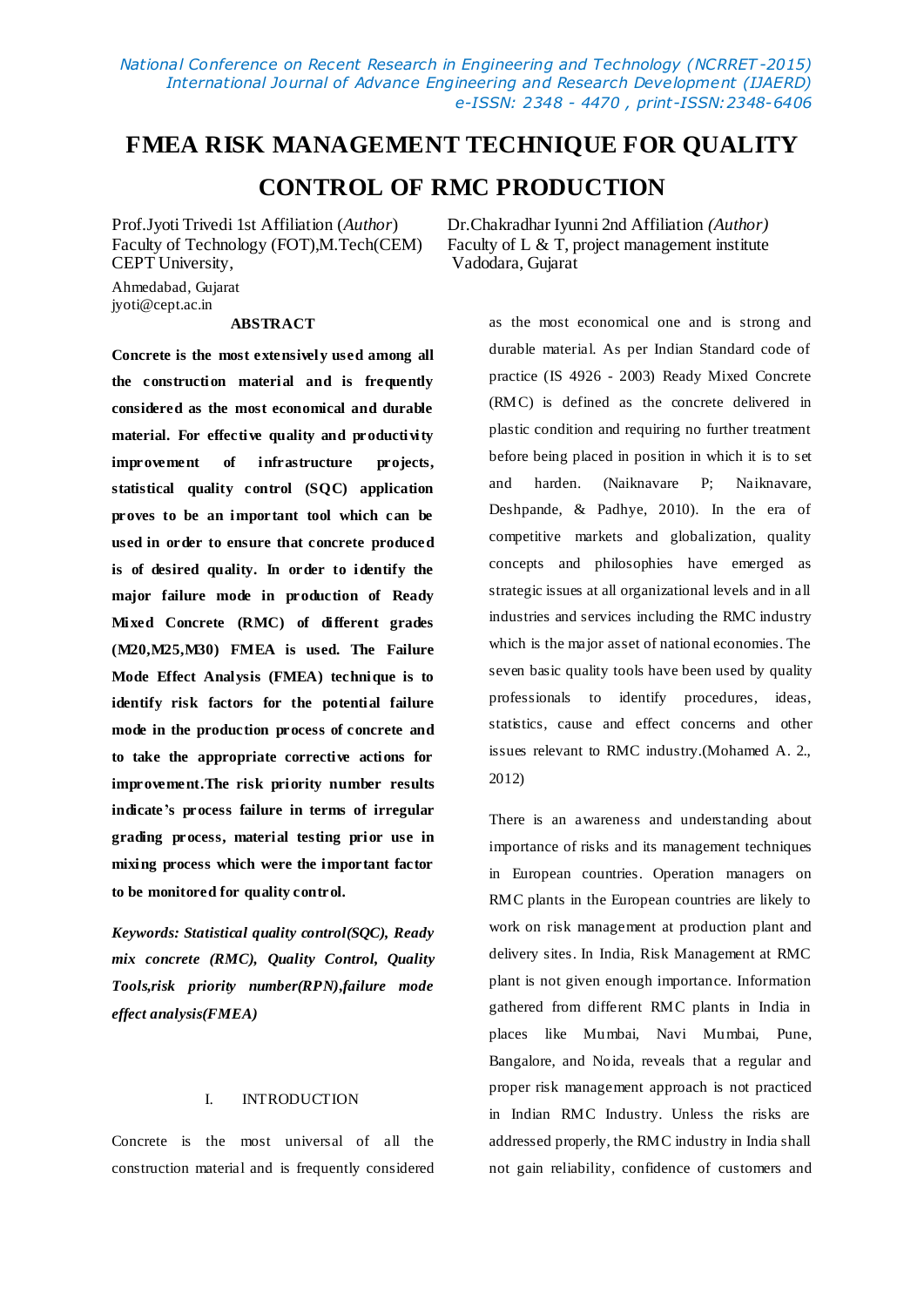*National Conference on Recent Research in Engineering and Technology (NCRRET -2015) International Journal of Advance Engineering and Research Development (IJAERD) e-ISSN: 2348 - 4470 , print-ISSN:2348-6406*

# **FMEA RISK MANAGEMENT TECHNIQUE FOR QUALITY CONTROL OF RMC PRODUCTION**

Ahmedabad, Gujarat jyoti@cept.ac.in

# **ABSTRACT**

**Concrete is the most extensively used among all the construction material and is frequently considered as the most economical and durable**  material. For effective quality and productivity **improvement of infrastructure projects, statistical quality control (SQC) application proves to be an important tool which can be used in order to ensure that concrete produced is of desired quality. In order to identify the major failure mode in production of Ready Mixed Concrete (RMC) of different grades (M20,M25,M30) FMEA is used. The Failure Mode Effect Analysis (FMEA) technique is to identify risk factors for the potential failure mode in the production process of concrete and to take the appropriate corrective actions for improvement.The risk priority number results indicate's process failure in terms of irregular grading process, material testing prior use in mixing process which were the important factor to be monitored for quality control.**

*Keywords: Statistical quality control(SQC), Ready mix concrete (RMC), Quality Control, Quality Tools,risk priority number(RPN),failure mode effect analysis(FMEA)*

# I. INTRODUCTION

Concrete is the most universal of all the construction material and is frequently considered

Prof.Jyoti Trivedi 1st Affiliation (*Author*) Dr.Chakradhar Iyunni 2nd Affiliation *(Author)* Faculty of Technology (FOT), M.Tech(CEM) Faculty of L & T, project management institute CEPT University, Vadodara, Gujarat Vadodara, Gujarat

> as the most economical one and is strong and durable material. As per Indian Standard code of practice (IS 4926 - 2003) Ready Mixed Concrete (RMC) is defined as the concrete delivered in plastic condition and requiring no further treatment before being placed in position in which it is to set and harden. (Naiknavare P; Naiknavare, Deshpande, & Padhye, 2010). In the era of competitive markets and globalization, quality concepts and philosophies have emerged as strategic issues at all organizational levels and in all industries and services including the RMC industry which is the major asset of national economies. The seven basic quality tools have been used by quality professionals to identify procedures, ideas, statistics, cause and effect concerns and other issues relevant to RMC industry.(Mohamed A. 2., 2012)

> There is an awareness and understanding about importance of risks and its management techniques in European countries. Operation managers on RMC plants in the European countries are likely to work on risk management at production plant and delivery sites. In India, Risk Management at RMC plant is not given enough importance. Information gathered from different RMC plants in India in places like Mumbai, Navi Mumbai, Pune, Bangalore, and Noida, reveals that a regular and proper risk management approach is not practiced in Indian RMC Industry. Unless the risks are addressed properly, the RMC industry in India shall not gain reliability, confidence of customers and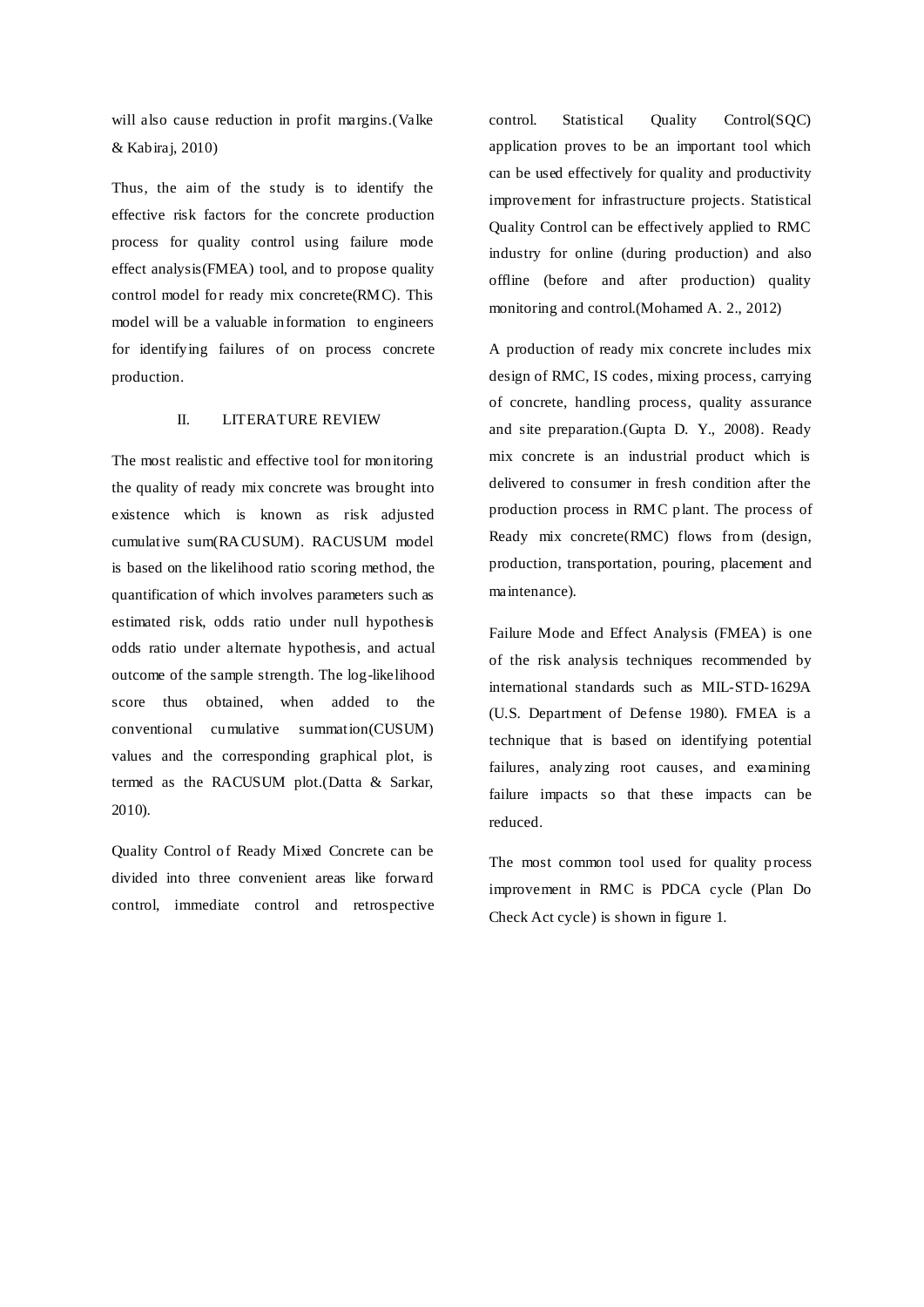will also cause reduction in profit margins.(Valke & Kabiraj, 2010)

Thus, the aim of the study is to identify the effective risk factors for the concrete production process for quality control using failure mode effect analysis(FMEA) tool, and to propose quality control model for ready mix concrete(RMC). This model will be a valuable information to engineers for identifying failures of on process concrete production.

# II. LITERATURE REVIEW

The most realistic and effective tool for monitoring the quality of ready mix concrete was brought into existence which is known as risk adjusted cumulative sum(RACUSUM). RACUSUM model is based on the likelihood ratio scoring method, the quantification of which involves parameters such as estimated risk, odds ratio under null hypothesis odds ratio under alternate hypothesis, and actual outcome of the sample strength. The log-likelihood score thus obtained, when added to the conventional cumulative summation(CUSUM) values and the corresponding graphical plot, is termed as the RACUSUM plot.(Datta & Sarkar, 2010).

Quality Control of Ready Mixed Concrete can be divided into three convenient areas like forward control, immediate control and retrospective control. Statistical Quality Control(SQC) application proves to be an important tool which can be used effectively for quality and productivity improvement for infrastructure projects. Statistical Quality Control can be effectively applied to RMC industry for online (during production) and also offline (before and after production) quality monitoring and control.(Mohamed A. 2., 2012)

A production of ready mix concrete includes mix design of RMC, IS codes, mixing process, carrying of concrete, handling process, quality assurance and site preparation.(Gupta D. Y., 2008). Ready mix concrete is an industrial product which is delivered to consumer in fresh condition after the production process in RMC plant. The process of Ready mix concrete(RMC) flows from (design, production, transportation, pouring, placement and maintenance).

Failure Mode and Effect Analysis (FMEA) is one of the risk analysis techniques recommended by international standards such as MIL-STD-1629A (U.S. Department of Defense 1980). FMEA is a technique that is based on identifying potential failures, analyzing root causes, and examining failure impacts so that these impacts can be reduced.

The most common tool used for quality process improvement in RMC is PDCA cycle (Plan Do Check Act cycle) is shown in figure 1.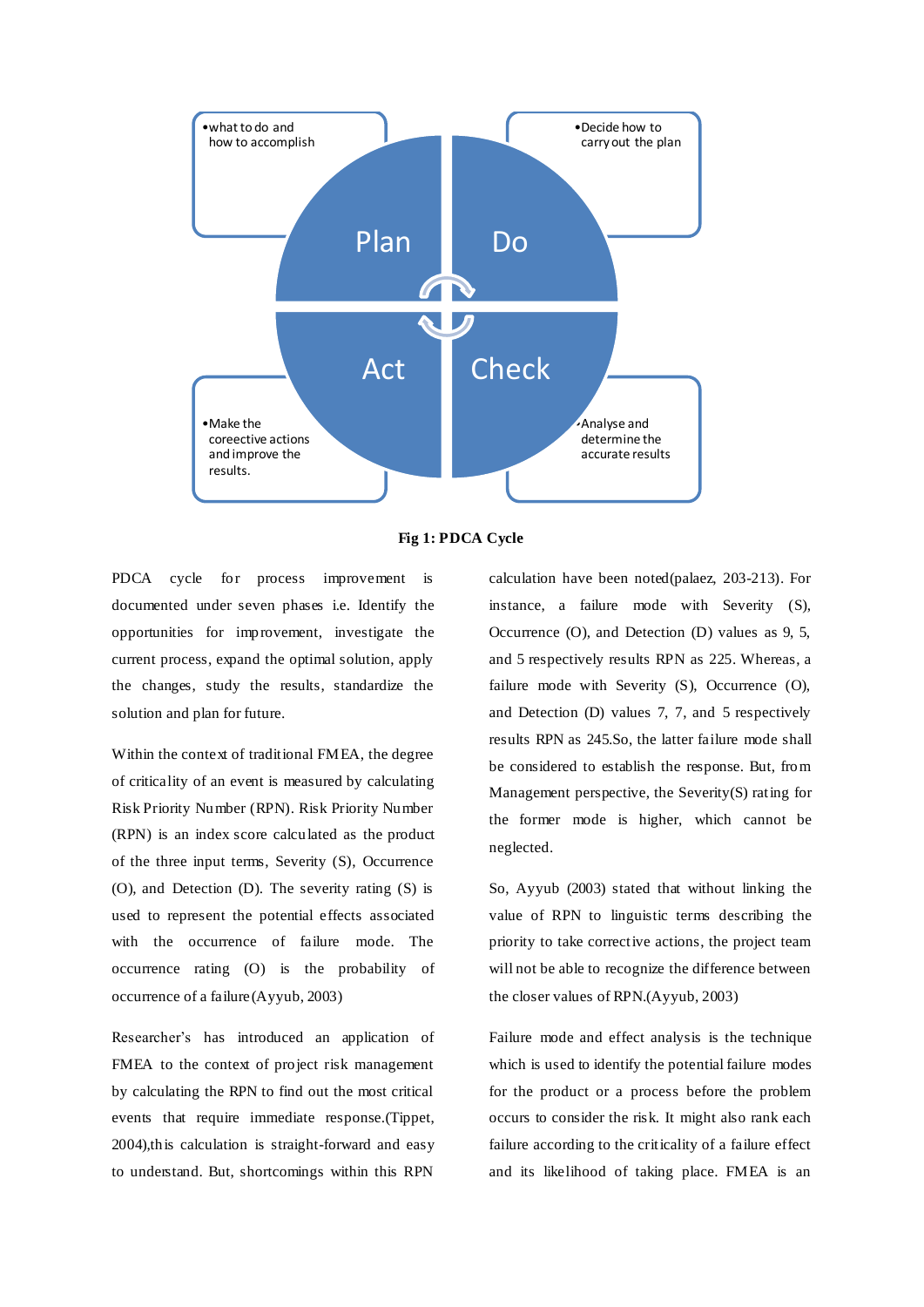



PDCA cycle for process improvement is documented under seven phases i.e. Identify the opportunities for improvement, investigate the current process, expand the optimal solution, apply the changes, study the results, standardize the solution and plan for future.

Within the context of traditional FMEA, the degree of criticality of an event is measured by calculating Risk Priority Number (RPN). Risk Priority Number (RPN) is an index score calculated as the product of the three input terms, Severity (S), Occurrence (O), and Detection (D). The severity rating (S) is used to represent the potential effects associated with the occurrence of failure mode. The occurrence rating (O) is the probability of occurrence of a failure (Ayyub, 2003)

Researcher's has introduced an application of FMEA to the context of project risk management by calculating the RPN to find out the most critical events that require immediate response.(Tippet, 2004),this calculation is straight-forward and easy to understand. But, shortcomings within this RPN

calculation have been noted(palaez, 203-213). For instance, a failure mode with Severity (S), Occurrence (O), and Detection (D) values as 9, 5, and 5 respectively results RPN as 225. Whereas, a failure mode with Severity (S), Occurrence (O), and Detection (D) values 7, 7, and 5 respectively results RPN as 245.So, the latter failure mode shall be considered to establish the response. But, from Management perspective, the Severity(S) rating for the former mode is higher, which cannot be neglected.

So, Ayyub (2003) stated that without linking the value of RPN to linguistic terms describing the priority to take corrective actions, the project team will not be able to recognize the difference between the closer values of RPN.(Ayyub, 2003)

Failure mode and effect analysis is the technique which is used to identify the potential failure modes for the product or a process before the problem occurs to consider the risk. It might also rank each failure according to the criticality of a failure effect and its likelihood of taking place. FMEA is an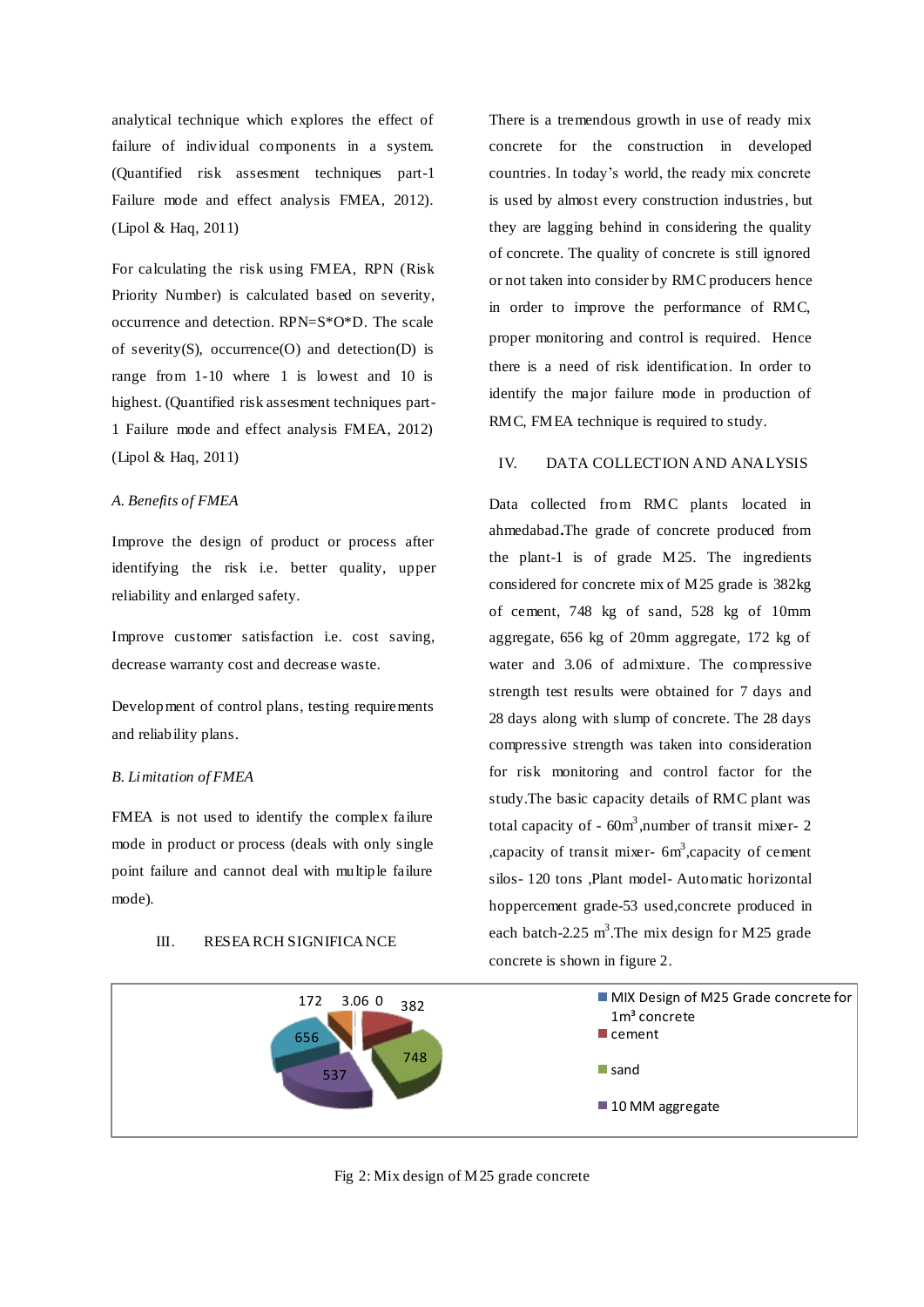analytical technique which explores the effect of failure of individual components in a system. (Quantified risk assesment techniques part-1 Failure mode and effect analysis FMEA, 2012). (Lipol & Haq, 2011)

For calculating the risk using FMEA, RPN (Risk Priority Number) is calculated based on severity, occurrence and detection. RPN=S\*O\*D. The scale of severity(S), occurrence(O) and detection(D) is range from 1-10 where 1 is lowest and 10 is highest. (Quantified risk assesment techniques part-1 Failure mode and effect analysis FMEA, 2012) (Lipol & Haq, 2011)

# *A. Benefits of FMEA*

Improve the design of product or process after identifying the risk i.e. better quality, upper reliability and enlarged safety.

Improve customer satisfaction i.e. cost saving, decrease warranty cost and decrease waste.

Development of control plans, testing requirements and reliability plans.

# *B. Limitation of FMEA*

FMEA is not used to identify the complex failure mode in product or process (deals with only single point failure and cannot deal with multiple failure mode).

# III. RESEARCH SIGNIFICANCE

There is a tremendous growth in use of ready mix concrete for the construction in developed countries. In today's world, the ready mix concrete is used by almost every construction industries, but they are lagging behind in considering the quality of concrete. The quality of concrete is still ignored or not taken into consider by RMC producers hence in order to improve the performance of RMC, proper monitoring and control is required. Hence there is a need of risk identification. In order to identify the major failure mode in production of RMC, FMEA technique is required to study.

# IV. DATA COLLECTION AND ANALYSIS

Data collected from RMC plants located in ahmedabad**.**The grade of concrete produced from the plant-1 is of grade M25. The ingredients considered for concrete mix of M25 grade is 382kg of cement, 748 kg of sand, 528 kg of 10mm aggregate, 656 kg of 20mm aggregate, 172 kg of water and 3.06 of admixture. The compressive strength test results were obtained for 7 days and 28 days along with slump of concrete. The 28 days compressive strength was taken into consideration for risk monitoring and control factor for the study.The basic capacity details of RMC plant was total capacity of  $-60m^3$ , number of transit mixer- 2 , capacity of transit mixer- 6m<sup>3</sup>, capacity of cement silos- 120 tons ,Plant model- Automatic horizontal hoppercement grade-53 used,concrete produced in each batch-2.25  $m^3$ . The mix design for M25 grade concrete is shown in figure 2.



Fig 2: Mix design of M25 grade concrete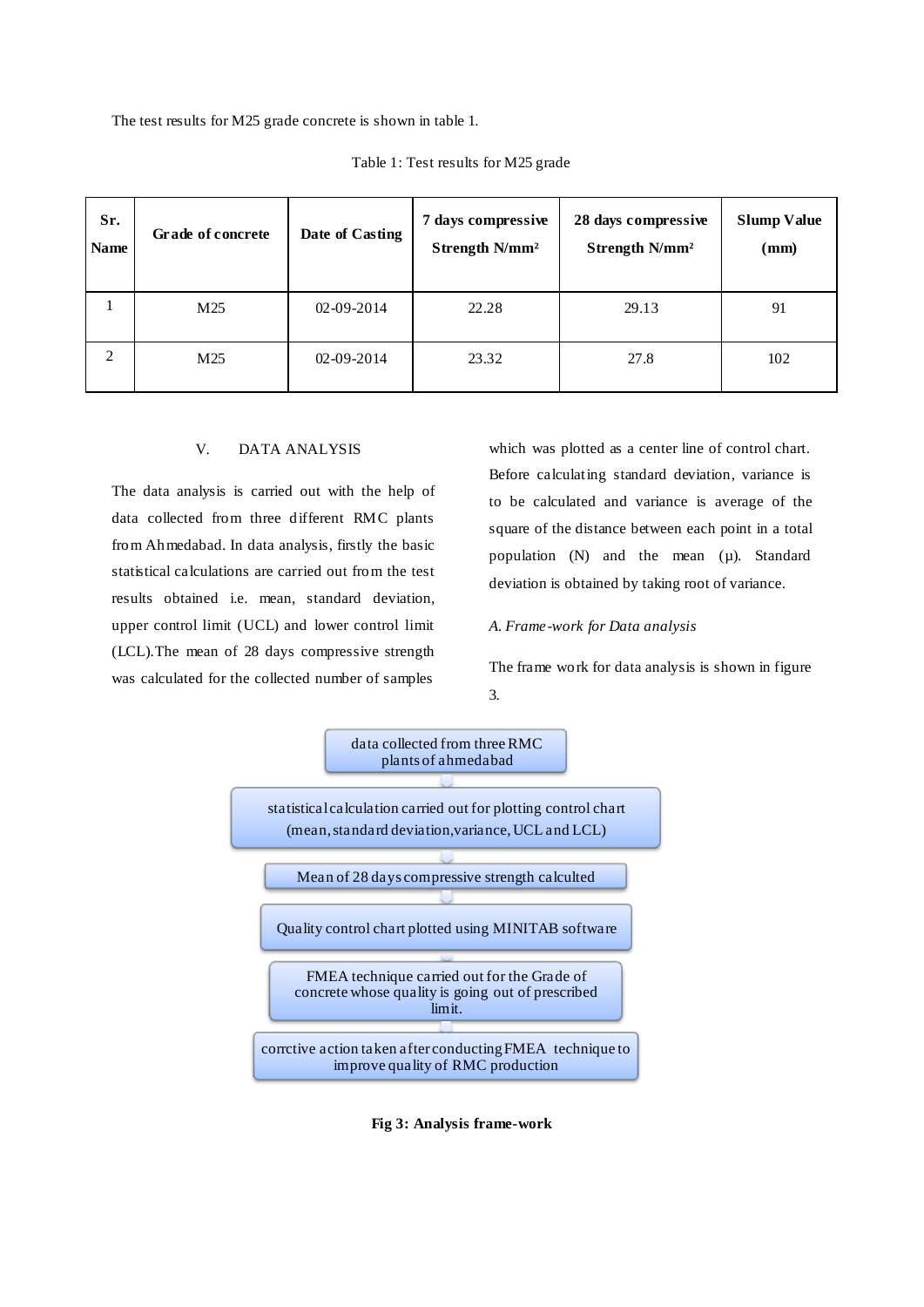The test results for M25 grade concrete is shown in table 1.

| Sr.<br><b>Name</b> | Grade of concrete | Date of Casting  | 7 days compressive<br>Strength N/mm <sup>2</sup> | 28 days compressive<br>Strength N/mm <sup>2</sup> | <b>Slump Value</b><br>(mm) |
|--------------------|-------------------|------------------|--------------------------------------------------|---------------------------------------------------|----------------------------|
|                    | M25               | $02 - 09 - 2014$ | 22.28                                            | 29.13                                             | 91                         |
| 2                  | M25               | $02 - 09 - 2014$ | 23.32                                            | 27.8                                              | 102                        |

Table 1: Test results for M25 grade

#### V. DATA ANALYSIS

The data analysis is carried out with the help of data collected from three different RMC plants from Ahmedabad. In data analysis, firstly the basic statistical calculations are carried out from the test results obtained i.e. mean, standard deviation, upper control limit (UCL) and lower control limit (LCL).The mean of 28 days compressive strength was calculated for the collected number of samples

which was plotted as a center line of control chart. Before calculating standard deviation, variance is to be calculated and variance is average of the square of the distance between each point in a total population (N) and the mean (µ). Standard deviation is obtained by taking root of variance.

#### *A. Frame-work for Data analysis*

The frame work for data analysis is shown in figure 3.



**Fig 3: Analysis frame-work**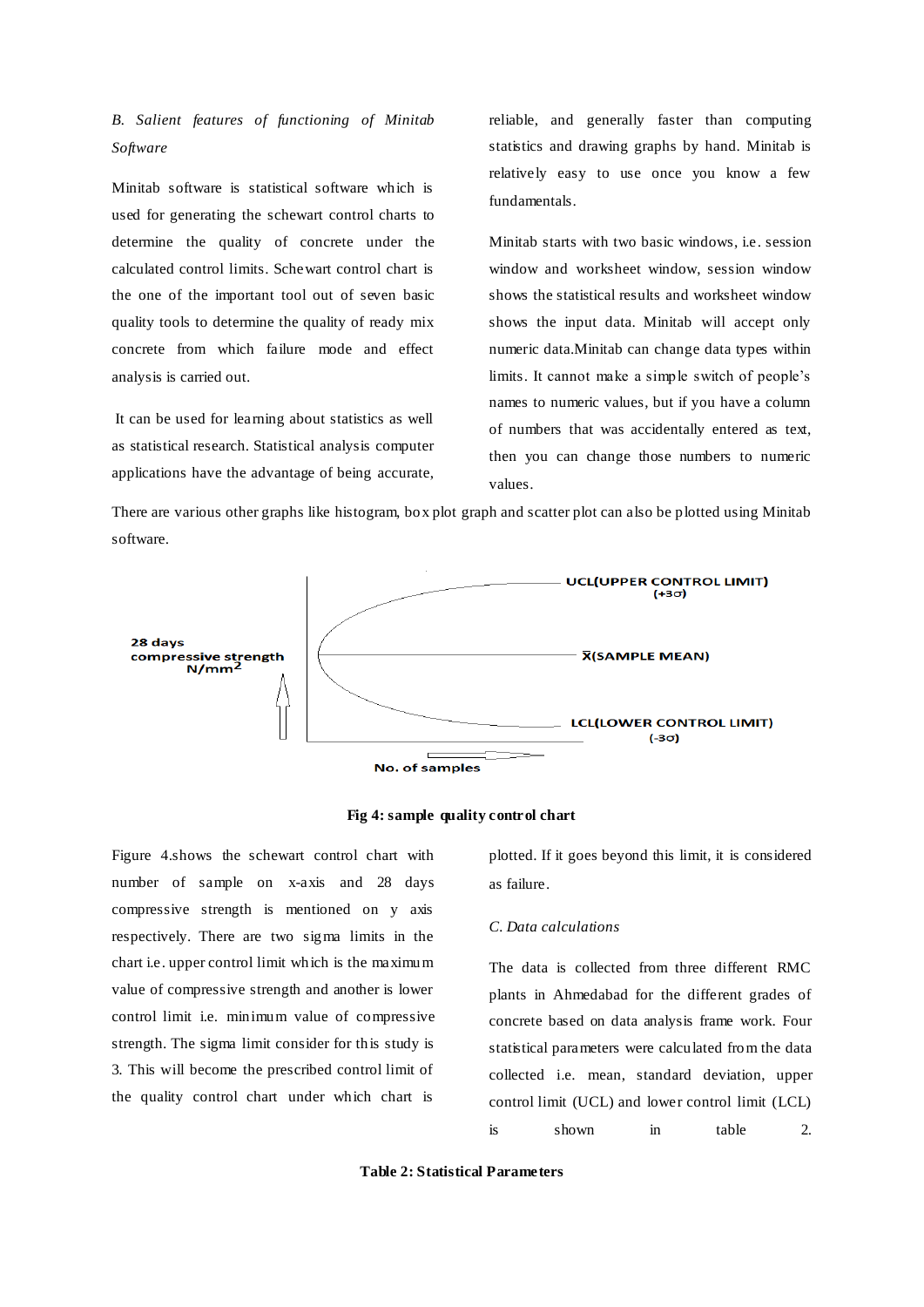# *B. Salient features of functioning of Minitab Software*

Minitab software is statistical software which is used for generating the schewart control charts to determine the quality of concrete under the calculated control limits. Schewart control chart is the one of the important tool out of seven basic quality tools to determine the quality of ready mix concrete from which failure mode and effect analysis is carried out.

It can be used for learning about statistics as well as statistical research. Statistical analysis computer applications have the advantage of being accurate, reliable, and generally faster than computing statistics and drawing graphs by hand. Minitab is relatively easy to use once you know a few fundamentals.

Minitab starts with two basic windows, i.e. session window and worksheet window, session window shows the statistical results and worksheet window shows the input data. Minitab will accept only numeric data.Minitab can change data types within limits. It cannot make a simple switch of people's names to numeric values, but if you have a column of numbers that was accidentally entered as text, then you can change those numbers to numeric values.

There are various other graphs like histogram, box plot graph and scatter plot can also be plotted using Minitab software.





Figure 4.shows the schewart control chart with number of sample on x-axis and 28 days compressive strength is mentioned on y axis respectively. There are two sigma limits in the chart i.e. upper control limit which is the maximum value of compressive strength and another is lower control limit i.e. minimum value of compressive strength. The sigma limit consider for this study is 3. This will become the prescribed control limit of the quality control chart under which chart is

plotted. If it goes beyond this limit, it is considered as failure.

#### *C. Data calculations*

The data is collected from three different RMC plants in Ahmedabad for the different grades of concrete based on data analysis frame work. Four statistical parameters were calculated from the data collected i.e. mean, standard deviation, upper control limit (UCL) and lower control limit (LCL) is shown in table 2.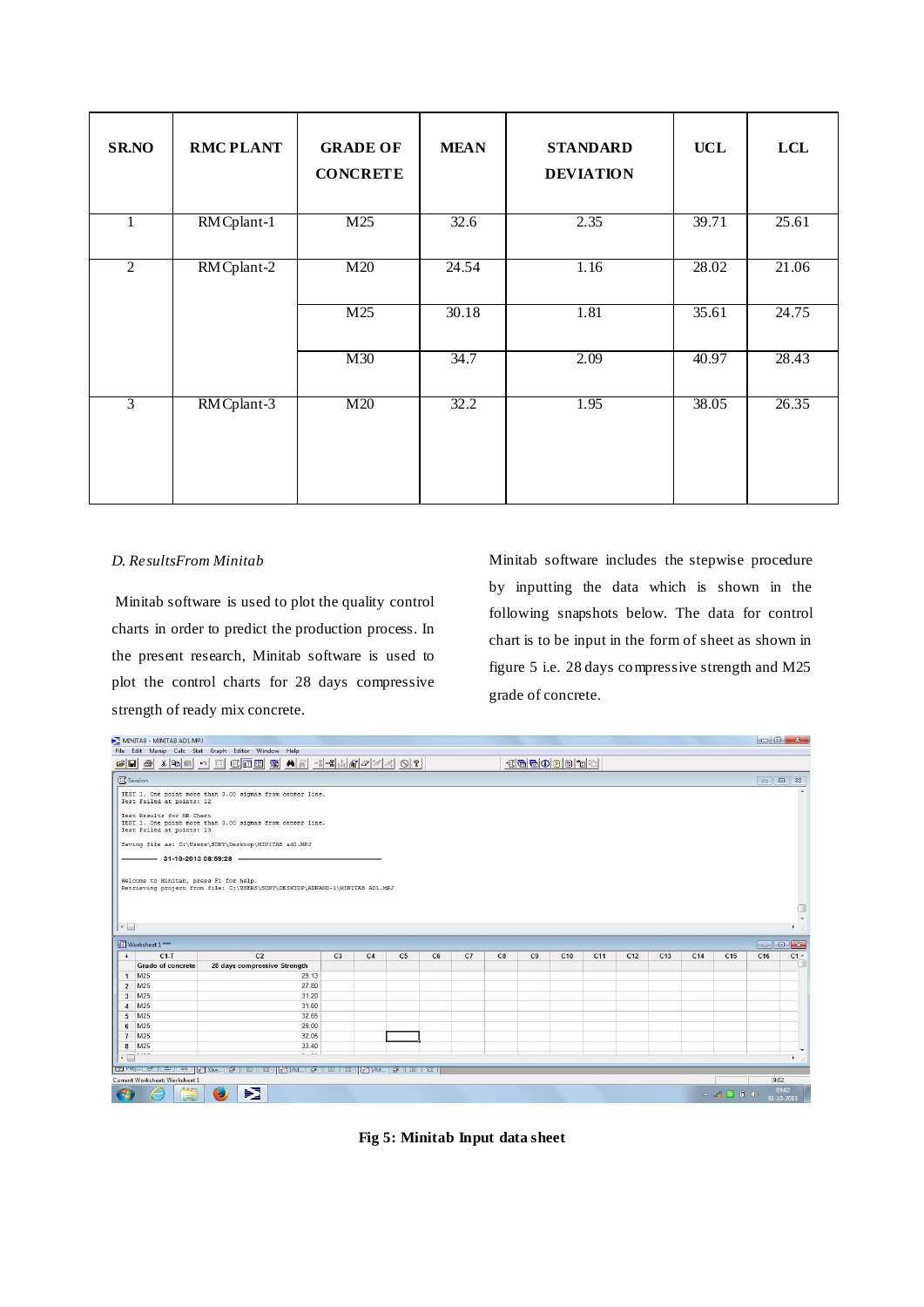| <b>SR.NO</b>   | <b>RMC PLANT</b> | <b>GRADE OF</b><br><b>CONCRETE</b> | <b>MEAN</b> | <b>STANDARD</b><br><b>DEVIATION</b> | <b>UCL</b> | <b>LCL</b> |
|----------------|------------------|------------------------------------|-------------|-------------------------------------|------------|------------|
| 1              | RM Cplant-1      | M25                                | 32.6        | 2.35                                | 39.71      | 25.61      |
| $\overline{2}$ | RM Cplant-2      | M20                                | 24.54       | 1.16                                | 28.02      | 21.06      |
|                |                  | M25                                | 30.18       | 1.81                                | 35.61      | 24.75      |
|                |                  | M30                                | 34.7        | 2.09                                | 40.97      | 28.43      |
| $\overline{3}$ | RM Cplant-3      | M20                                | 32.2        | 1.95                                | 38.05      | 26.35      |

# *D. ResultsFrom Minitab*

Minitab software is used to plot the quality control charts in order to predict the production process. In the present research, Minitab software is used to plot the control charts for 28 days compressive strength of ready mix concrete.

Minitab software includes the stepwise procedure by inputting the data which is shown in the following snapshots below. The data for control chart is to be input in the form of sheet as shown in figure 5 i.e. 28 days compressive strength and M25 grade of concrete.

|                      | MINITAB - MINITAB AD1.MPJ                                                                                           |                                                                                                                                      |                |                |                |    |    |    |    |                 |                 |                 |                 |                 |                 |      |                      |  |
|----------------------|---------------------------------------------------------------------------------------------------------------------|--------------------------------------------------------------------------------------------------------------------------------------|----------------|----------------|----------------|----|----|----|----|-----------------|-----------------|-----------------|-----------------|-----------------|-----------------|------|----------------------|--|
|                      |                                                                                                                     | File Edit Manip Calc Stat Graph Editor Window Help                                                                                   |                |                |                |    |    |    |    |                 |                 |                 |                 |                 |                 |      |                      |  |
| $\mathbf{B}$         | 310000                                                                                                              |                                                                                                                                      |                |                |                |    |    |    |    | - K B B D B B T |                 |                 |                 |                 |                 |      |                      |  |
|                      | <b>EL</b> Session                                                                                                   |                                                                                                                                      |                |                |                |    |    |    |    |                 |                 |                 |                 |                 |                 |      |                      |  |
|                      | Test Failed at points: 12                                                                                           | TEST 1. One point more than 3.00 sigmas from center line.                                                                            |                |                |                |    |    |    |    |                 |                 |                 |                 |                 |                 |      |                      |  |
|                      | Test Results for MR Chart<br>TEST 1. One point more than 3.00 sigmas from center line.<br>Test Failed at points: 13 |                                                                                                                                      |                |                |                |    |    |    |    |                 |                 |                 |                 |                 |                 |      |                      |  |
|                      |                                                                                                                     | Saving file as: C:\Users\SONY\Desktop\MINITAB ad1.MPJ                                                                                |                |                |                |    |    |    |    |                 |                 |                 |                 |                 |                 |      |                      |  |
|                      | $-31-10-201308:59:28 -$                                                                                             |                                                                                                                                      |                |                |                |    |    |    |    |                 |                 |                 |                 |                 |                 |      |                      |  |
|                      |                                                                                                                     |                                                                                                                                      |                |                |                |    |    |    |    |                 |                 |                 |                 |                 |                 |      |                      |  |
|                      | Welcome to Minitab, press F1 for help.                                                                              | Retrieving project from file: C:\USERS\SONY\DESKTOP\ADNAND~1\MINITAB AD1.MPJ                                                         |                |                |                |    |    |    |    |                 |                 |                 |                 |                 |                 |      |                      |  |
|                      |                                                                                                                     |                                                                                                                                      |                |                |                |    |    |    |    |                 |                 |                 |                 |                 |                 |      |                      |  |
|                      |                                                                                                                     |                                                                                                                                      |                |                |                |    |    |    |    |                 |                 |                 |                 |                 |                 |      | H                    |  |
|                      |                                                                                                                     |                                                                                                                                      |                |                |                |    |    |    |    |                 |                 |                 |                 |                 |                 |      | $\ddot{\phantom{1}}$ |  |
| $\leftarrow$         |                                                                                                                     |                                                                                                                                      |                |                |                |    |    |    |    |                 |                 |                 |                 |                 |                 |      | k                    |  |
|                      | Worksheet 1 ***                                                                                                     |                                                                                                                                      |                |                |                |    |    |    |    |                 |                 |                 |                 |                 |                 |      | $\blacksquare$       |  |
| $\ddot{\phantom{1}}$ | $C1-T$                                                                                                              | C <sub>2</sub>                                                                                                                       | C <sub>3</sub> | C <sub>4</sub> | C <sub>5</sub> | C6 | C7 | C8 | C9 | C10             | C <sub>11</sub> | C <sub>12</sub> | C <sub>13</sub> | C <sub>14</sub> | C <sub>15</sub> | C16  | $C1 -$               |  |
|                      | <b>Grade of concrete</b>                                                                                            | 28 days compressive Strength                                                                                                         |                |                |                |    |    |    |    |                 |                 |                 |                 |                 |                 |      |                      |  |
|                      | $1$ M <sub>25</sub>                                                                                                 | 29.13                                                                                                                                |                |                |                |    |    |    |    |                 |                 |                 |                 |                 |                 |      |                      |  |
|                      | 2 M25                                                                                                               | 27.80                                                                                                                                |                |                |                |    |    |    |    |                 |                 |                 |                 |                 |                 |      |                      |  |
|                      | 3 M25                                                                                                               | 31.20                                                                                                                                |                |                |                |    |    |    |    |                 |                 |                 |                 |                 |                 |      |                      |  |
| $\overline{4}$       | M25                                                                                                                 | 31.60                                                                                                                                |                |                |                |    |    |    |    |                 |                 |                 |                 |                 |                 |      |                      |  |
| 5                    | M25                                                                                                                 | 32.65                                                                                                                                |                |                |                |    |    |    |    |                 |                 |                 |                 |                 |                 |      |                      |  |
| 6                    | M25                                                                                                                 | 29.00                                                                                                                                |                |                |                |    |    |    |    |                 |                 |                 |                 |                 |                 |      |                      |  |
|                      | 7 M25                                                                                                               | 32.05                                                                                                                                |                |                |                |    |    |    |    |                 |                 |                 |                 |                 |                 |      |                      |  |
| $\overline{8}$       | M25                                                                                                                 | 33.40                                                                                                                                |                |                |                |    |    |    |    |                 |                 |                 |                 |                 |                 |      |                      |  |
|                      |                                                                                                                     |                                                                                                                                      |                |                |                |    |    |    |    |                 |                 |                 |                 |                 |                 |      |                      |  |
|                      |                                                                                                                     | $-1 - 1$<br>$\cdots$<br>$\cdot \Box$<br>¥                                                                                            |                |                |                |    |    |    |    |                 |                 |                 |                 |                 |                 |      |                      |  |
|                      |                                                                                                                     | 国 Proj… □    □    △      <mark>☆</mark> Xba ●    □    ∞     ☆    /M ●    □    ∞    <mark>☆</mark>   <i>  M</i> ●    □    ∞    □    ∞ |                |                |                |    |    |    |    |                 |                 |                 |                 |                 |                 |      |                      |  |
|                      | Current Worksheet: Worksheet 1                                                                                      | $\mathbf{E}$                                                                                                                         |                |                |                |    |    |    |    |                 |                 |                 |                 |                 |                 | 9:02 | 09:02                |  |

**Fig 5: Minitab Input data sheet**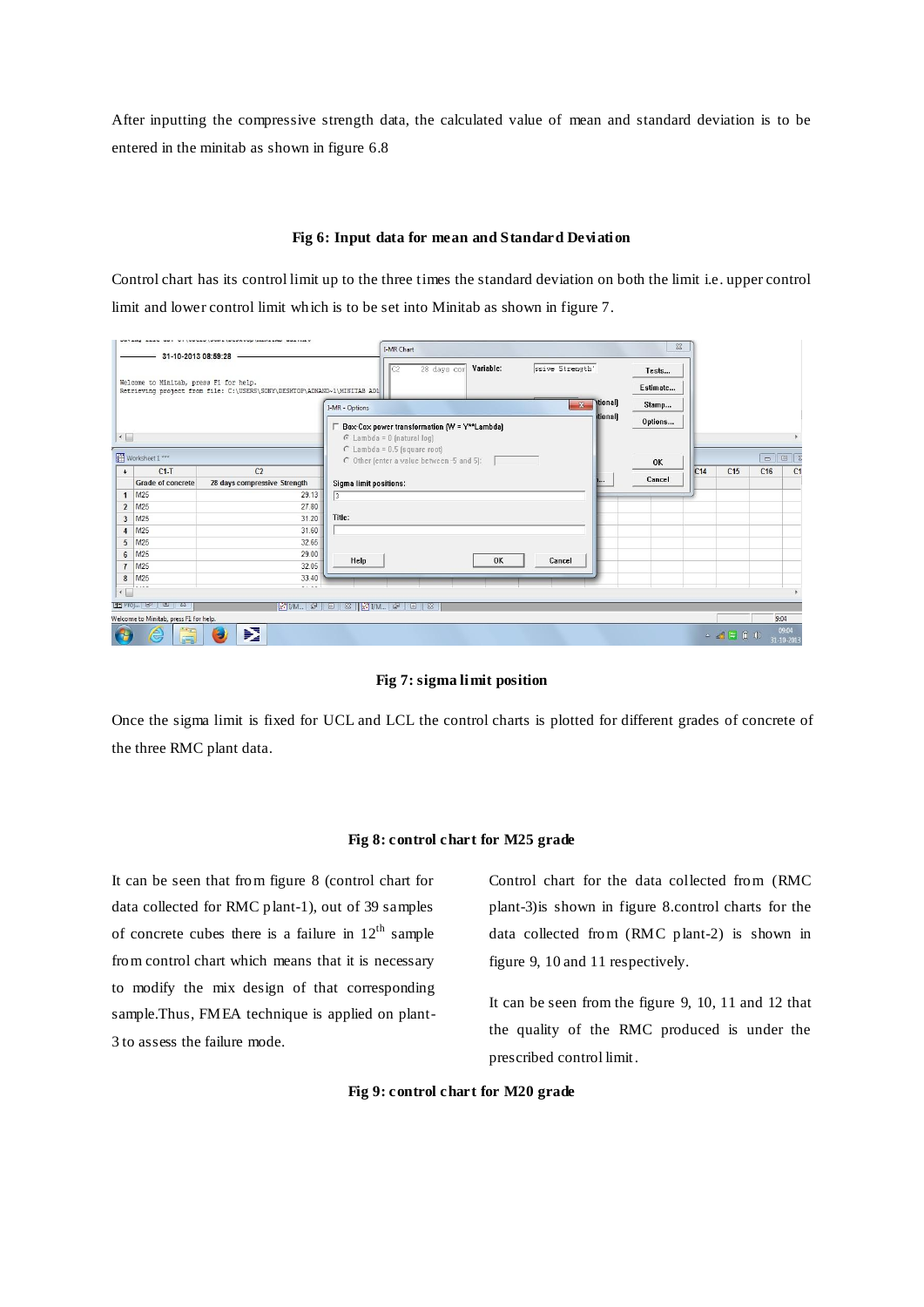After inputting the compressive strength data, the calculated value of mean and standard deviation is to be entered in the minitab as shown in figure 6.8

# **Fig 6: Input data for mean and Standard Deviation**

Control chart has its control limit up to the three times the standard deviation on both the limit i.e. upper control limit and lower control limit which is to be set into Minitab as shown in figure 7.

|                               | 31-10-2013 08:59:28                    | PERSON SERVICE PROPERTY AND THE PERSON WAS ARRESTED.                     | I-MR Chart                                                                                    | $\Sigma$          |     |                                                                                                                                                                                                                                                                                                                                                                                                                                                                                                                                                         |                      |                     |
|-------------------------------|----------------------------------------|--------------------------------------------------------------------------|-----------------------------------------------------------------------------------------------|-------------------|-----|---------------------------------------------------------------------------------------------------------------------------------------------------------------------------------------------------------------------------------------------------------------------------------------------------------------------------------------------------------------------------------------------------------------------------------------------------------------------------------------------------------------------------------------------------------|----------------------|---------------------|
|                               | Welcome to Minitab, press F1 for help. | Retrieving project from file: C:\USERS\SONY\DESKTOP\ADNAND~1\MINITAB AD1 | ssive Strength'<br>Variable:<br>28 days com<br>C <sub>2</sub>                                 | Tests<br>Estimate |     |                                                                                                                                                                                                                                                                                                                                                                                                                                                                                                                                                         |                      |                     |
|                               |                                        |                                                                          | \tional)<br>$\mathcal{R}$<br>I-MR - Options                                                   | Stamp             |     |                                                                                                                                                                                                                                                                                                                                                                                                                                                                                                                                                         |                      |                     |
|                               |                                        |                                                                          | tional<br>$\Box$ Box-Cox power transformation $\mathsf{fW} = \mathsf{Y}^{\star\star}$ Lambda) | Options           |     |                                                                                                                                                                                                                                                                                                                                                                                                                                                                                                                                                         |                      |                     |
| $\leftarrow$                  |                                        |                                                                          | $C$ Lambda = 0 (natural log)                                                                  |                   |     |                                                                                                                                                                                                                                                                                                                                                                                                                                                                                                                                                         |                      |                     |
|                               | Worksheet 1 ***                        |                                                                          | $C$ Lambda = 0.5 (square root)<br>C Other (enter a value between -5 and 5):                   | <b>OK</b>         |     |                                                                                                                                                                                                                                                                                                                                                                                                                                                                                                                                                         | $\qquad \qquad \Box$ | 回忆                  |
| $\ddot{\phantom{1}}$          | $C1-T$                                 | C <sub>2</sub>                                                           |                                                                                               | Cancel            | C14 | C <sub>15</sub>                                                                                                                                                                                                                                                                                                                                                                                                                                                                                                                                         | C16                  | C <sub>1</sub>      |
|                               | <b>Grade of concrete</b>               | 28 days compressive Strength                                             | Sigma limit positions:                                                                        |                   |     |                                                                                                                                                                                                                                                                                                                                                                                                                                                                                                                                                         |                      |                     |
| $\mathbf{1}$                  | M25                                    | 29.13                                                                    | $\sqrt{3}$                                                                                    |                   |     |                                                                                                                                                                                                                                                                                                                                                                                                                                                                                                                                                         |                      |                     |
| $\overline{2}$                | M25                                    | 27.80                                                                    |                                                                                               |                   |     |                                                                                                                                                                                                                                                                                                                                                                                                                                                                                                                                                         |                      |                     |
| $\overline{3}$                | M25                                    | 31.20                                                                    | Title:                                                                                        |                   |     |                                                                                                                                                                                                                                                                                                                                                                                                                                                                                                                                                         |                      |                     |
| $\overline{4}$                | M25                                    | 31.60                                                                    |                                                                                               |                   |     |                                                                                                                                                                                                                                                                                                                                                                                                                                                                                                                                                         |                      |                     |
| 5                             | M <sub>25</sub>                        | 32.65                                                                    |                                                                                               |                   |     |                                                                                                                                                                                                                                                                                                                                                                                                                                                                                                                                                         |                      |                     |
| $6\overline{6}$               | M25                                    | 29.00                                                                    |                                                                                               |                   |     |                                                                                                                                                                                                                                                                                                                                                                                                                                                                                                                                                         |                      |                     |
| $\overline{7}$                | M25                                    | 32.05                                                                    | <b>OK</b><br>Help<br>Cancel                                                                   |                   |     |                                                                                                                                                                                                                                                                                                                                                                                                                                                                                                                                                         |                      |                     |
| 8                             | M25                                    | 33.40                                                                    |                                                                                               |                   |     |                                                                                                                                                                                                                                                                                                                                                                                                                                                                                                                                                         |                      |                     |
| $\left\Vert \cdot\right\Vert$ |                                        | $-1 - 1$                                                                 |                                                                                               |                   |     |                                                                                                                                                                                                                                                                                                                                                                                                                                                                                                                                                         |                      |                     |
|                               |                                        |                                                                          |                                                                                               |                   |     |                                                                                                                                                                                                                                                                                                                                                                                                                                                                                                                                                         |                      |                     |
|                               | $E$ Proj $E$ $E$ $E$ $E$ $E$           |                                                                          | $X'$ $V$ M $\oplus$ $\Box$ $\Box$ $X$ $X'$ $V$ M $\oplus$ $\Box$ $\Box$ $X$                   |                   |     |                                                                                                                                                                                                                                                                                                                                                                                                                                                                                                                                                         |                      |                     |
|                               | Welcome to Minitab, press F1 for help. |                                                                          |                                                                                               |                   |     |                                                                                                                                                                                                                                                                                                                                                                                                                                                                                                                                                         | 9:04                 |                     |
| 75                            | <b>Corp</b><br>e<br>6 a                | 哑<br>٠                                                                   |                                                                                               |                   |     | $\begin{array}{c} \hline \begin{array}{cc} \hline \begin{array}{cc} \hline \begin{array}{cc} \hline \end{array} & \hline \begin{array}{cc} \hline \end{array} & \hline \begin{array}{cc} \hline \end{array} & \hline \begin{array}{cc} \hline \end{array} & \hline \begin{array}{cc} \hline \end{array} & \hline \begin{array}{cc} \hline \end{array} & \hline \end{array} & \hline \begin{array}{cc} \hline \end{array} & \hline \begin{array}{cc} \hline \end{array} & \hline \begin{array}{cc} \hline \end{array} & \hline \begin{array}{cc} \hline$ |                      | 09:04<br>31-10-2013 |

**Fig 7: sigma limit position**

Once the sigma limit is fixed for UCL and LCL the control charts is plotted for different grades of concrete of the three RMC plant data.

# **Fig 8: control chart for M25 grade**

It can be seen that from figure 8 (control chart for data collected for RMC plant-1), out of 39 samples of concrete cubes there is a failure in  $12<sup>th</sup>$  sample from control chart which means that it is necessary to modify the mix design of that corresponding sample.Thus, FMEA technique is applied on plant-3 to assess the failure mode.

Control chart for the data collected from (RMC plant-3)is shown in figure 8.control charts for the data collected from (RMC plant-2) is shown in figure 9, 10 and 11 respectively.

It can be seen from the figure 9, 10, 11 and 12 that the quality of the RMC produced is under the prescribed control limit.

#### **Fig 9: control chart for M20 grade**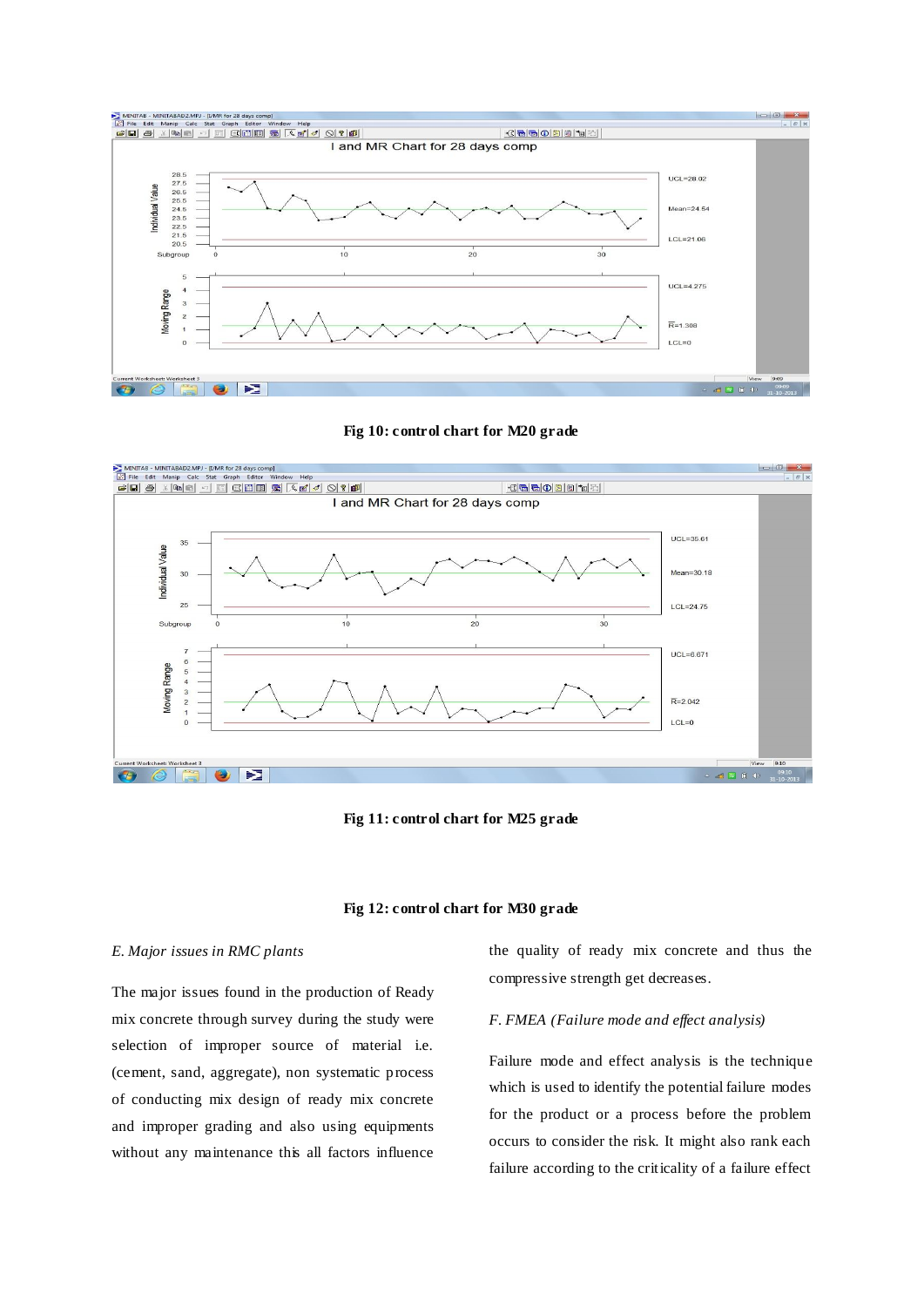





**Fig 11: control chart for M25 grade**



#### *E. Major issues in RMC plants*

The major issues found in the production of Ready mix concrete through survey during the study were selection of improper source of material i.e. (cement, sand, aggregate), non systematic process of conducting mix design of ready mix concrete and improper grading and also using equipments without any maintenance this all factors influence

the quality of ready mix concrete and thus the compressive strength get decreases.

# *F. FMEA (Failure mode and effect analysis)*

Failure mode and effect analysis is the technique which is used to identify the potential failure modes for the product or a process before the problem occurs to consider the risk. It might also rank each failure according to the criticality of a failure effect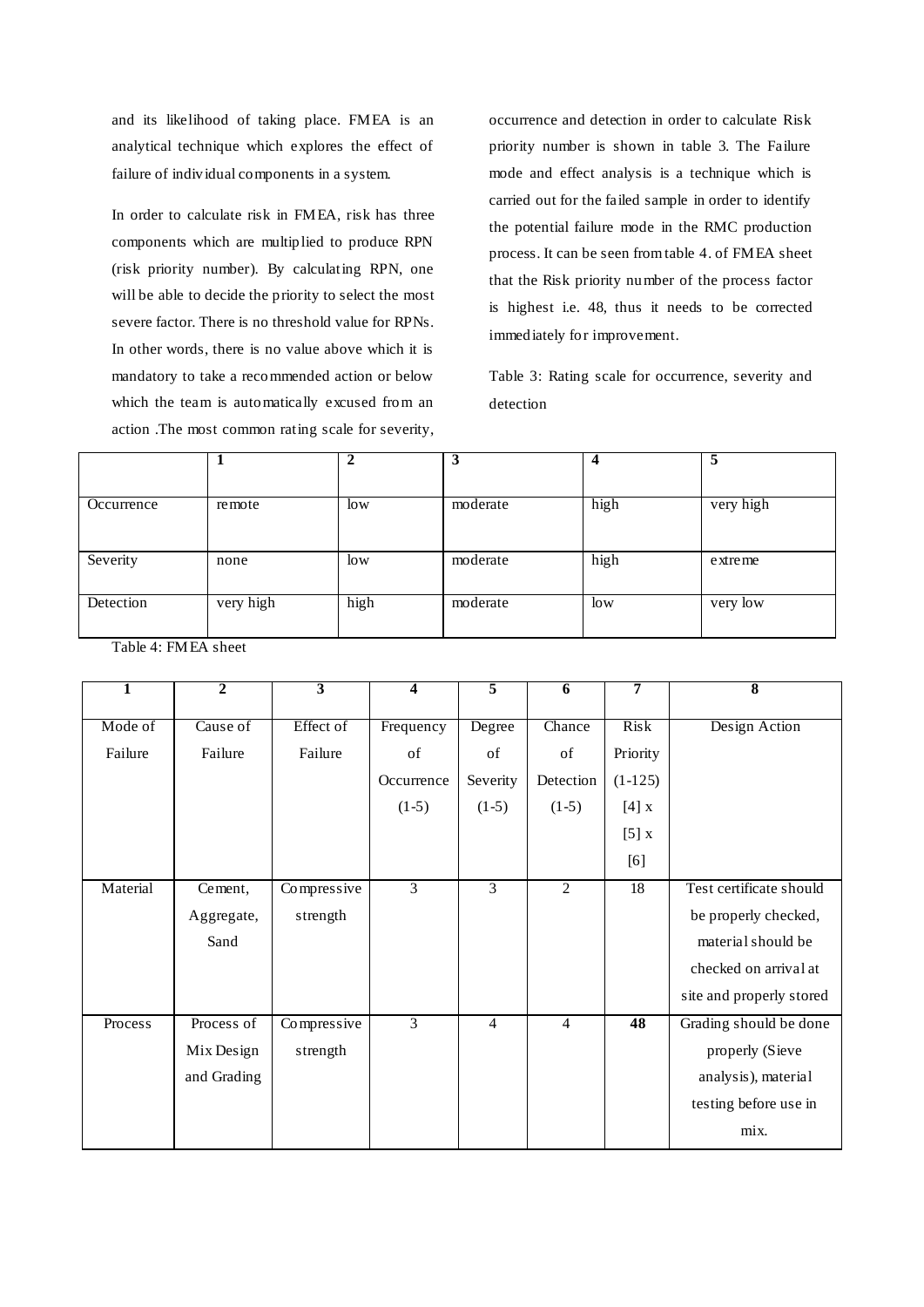and its likelihood of taking place. FMEA is an analytical technique which explores the effect of failure of individual components in a system.

In order to calculate risk in FMEA, risk has three components which are multiplied to produce RPN (risk priority number). By calculating RPN, one will be able to decide the priority to select the most severe factor. There is no threshold value for RPNs. In other words, there is no value above which it is mandatory to take a recommended action or below which the team is automatically excused from an action .The most common rating scale for severity,

occurrence and detection in order to calculate Risk priority number is shown in table 3. The Failure mode and effect analysis is a technique which is carried out for the failed sample in order to identify the potential failure mode in the RMC production process. It can be seen from table 4. of FMEA sheet that the Risk priority number of the process factor is highest i.e. 48, thus it needs to be corrected immediately for improvement.

Table 3: Rating scale for occurrence, severity and detection

|            |           | ◠    | 3        |        | 5         |
|------------|-----------|------|----------|--------|-----------|
|            |           |      |          |        |           |
| Occurrence | remote    | low  | moderate | high   | very high |
|            |           |      |          |        |           |
|            |           |      |          |        |           |
| Severity   | none      | low  | moderate | high   | extreme   |
|            |           |      |          |        |           |
| Detection  | very high | high | moderate | $\log$ | very low  |
|            |           |      |          |        |           |

Table 4: FMEA sheet

| $\overline{\mathbf{1}}$ | $\overline{2}$ | $\overline{3}$ | $\overline{\mathbf{4}}$ | 5              | $\overline{6}$ | 7               | $\overline{\bf 8}$       |
|-------------------------|----------------|----------------|-------------------------|----------------|----------------|-----------------|--------------------------|
| Mode of                 | Cause of       | Effect of      | Frequency               | Degree         | Chance         | Risk            | Design Action            |
| Failure                 | Failure        | Failure        | of                      | of             | of             | Priority        |                          |
|                         |                |                | Occurrence              | Severity       | Detection      | $(1-125)$       |                          |
|                         |                |                | $(1-5)$                 | $(1-5)$        | $(1-5)$        | $[4]$ x         |                          |
|                         |                |                |                         |                |                | [5]x            |                          |
|                         |                |                |                         |                |                | [6]             |                          |
| Material                | Cement,        | Compressive    | $\overline{3}$          | $\overline{3}$ | $\overline{2}$ | $\overline{18}$ | Test certificate should  |
|                         | Aggregate,     | strength       |                         |                |                |                 | be properly checked,     |
|                         |                |                |                         |                |                |                 |                          |
|                         | Sand           |                |                         |                |                |                 | material should be       |
|                         |                |                |                         |                |                |                 | checked on arrival at    |
|                         |                |                |                         |                |                |                 | site and properly stored |
| Process                 | Process of     | Compressive    | 3                       | $\overline{4}$ | $\overline{4}$ | $\overline{48}$ | Grading should be done   |
|                         | Mix Design     | strength       |                         |                |                |                 | properly (Sieve          |
|                         | and Grading    |                |                         |                |                |                 | analysis), material      |
|                         |                |                |                         |                |                |                 | testing before use in    |
|                         |                |                |                         |                |                |                 | mix.                     |
|                         |                |                |                         |                |                |                 |                          |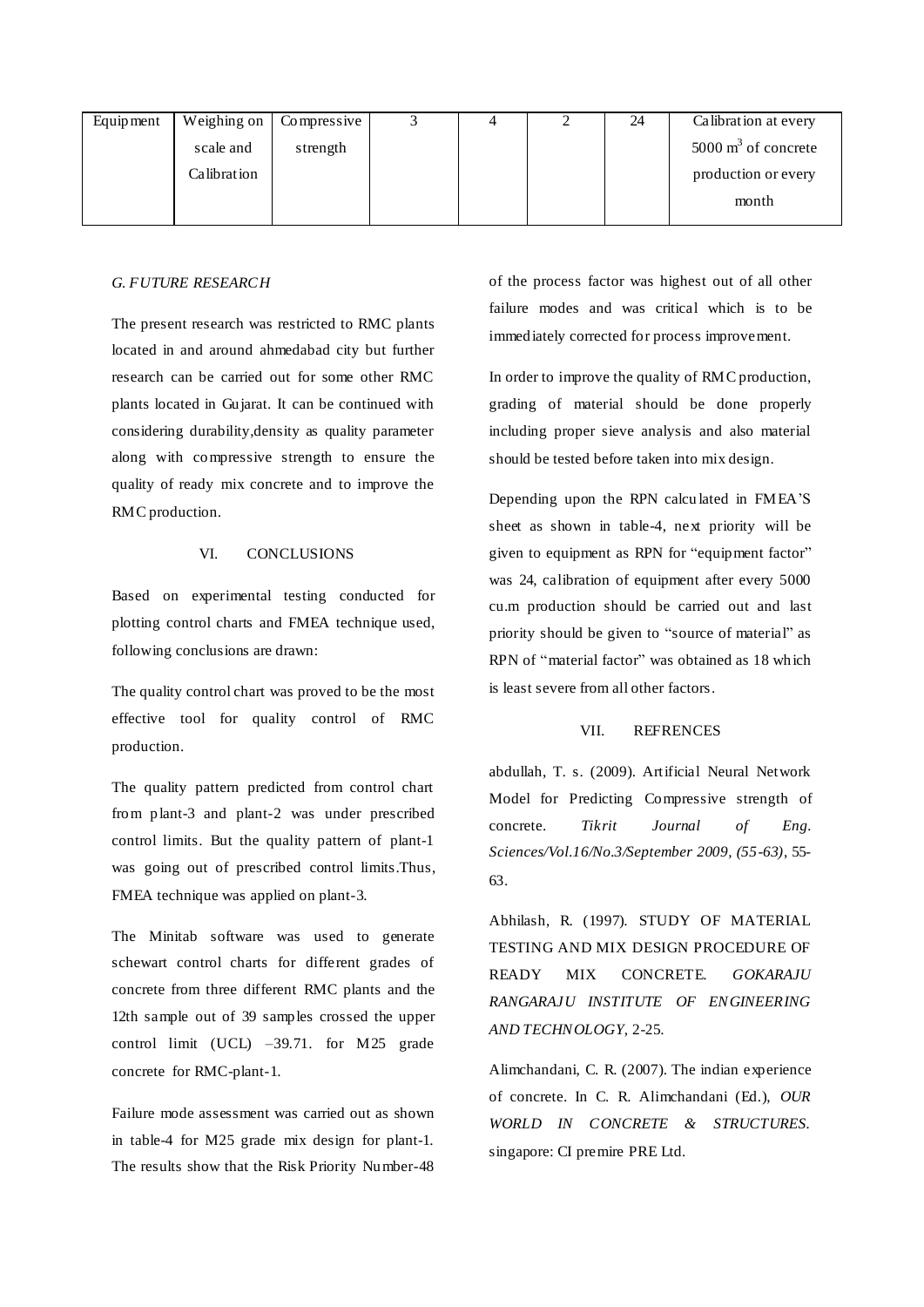| Equipment |             | Weighing on $\vert$ Compressive |  | 24 | Calibration at every           |
|-----------|-------------|---------------------------------|--|----|--------------------------------|
|           | scale and   | strength                        |  |    | $5000 \text{ m}^3$ of concrete |
|           | Calibration |                                 |  |    | production or every            |
|           |             |                                 |  |    | month                          |
|           |             |                                 |  |    |                                |

# *G. FUTURE RESEARCH*

The present research was restricted to RMC plants located in and around ahmedabad city but further research can be carried out for some other RMC plants located in Gujarat. It can be continued with considering durability,density as quality parameter along with compressive strength to ensure the quality of ready mix concrete and to improve the RMC production.

# VI. CONCLUSIONS

Based on experimental testing conducted for plotting control charts and FMEA technique used, following conclusions are drawn:

The quality control chart was proved to be the most effective tool for quality control of RMC production.

The quality pattern predicted from control chart from plant-3 and plant-2 was under prescribed control limits. But the quality pattern of plant-1 was going out of prescribed control limits.Thus, FMEA technique was applied on plant-3.

The Minitab software was used to generate schewart control charts for different grades of concrete from three different RMC plants and the 12th sample out of 39 samples crossed the upper control limit (UCL) –39.71. for M25 grade concrete for RMC-plant-1.

Failure mode assessment was carried out as shown in table-4 for M25 grade mix design for plant-1. The results show that the Risk Priority Number-48 of the process factor was highest out of all other failure modes and was critical which is to be immediately corrected for process improvement.

In order to improve the quality of RMC production, grading of material should be done properly including proper sieve analysis and also material should be tested before taken into mix design.

Depending upon the RPN calcu lated in FMEA'S sheet as shown in table-4, next priority will be given to equipment as RPN for "equipment factor" was 24, calibration of equipment after every 5000 cu.m production should be carried out and last priority should be given to "source of material" as RPN of "material factor" was obtained as 18 which is least severe from all other factors.

#### VII. REFRENCES

abdullah, T. s. (2009). Artificial Neural Network Model for Predicting Compressive strength of concrete. *Tikrit Journal of Eng. Sciences/Vol.16/No.3/September 2009, (55-63)*, 55- 63.

Abhilash, R. (1997). STUDY OF MATERIAL TESTING AND MIX DESIGN PROCEDURE OF READY MIX CONCRETE. *GOKARAJU RANGARAJU INSTITUTE OF ENGINEERING AND TECHNOLOGY*, 2-25.

Alimchandani, C. R. (2007). The indian experience of concrete. In C. R. Alimchandani (Ed.), *OUR WORLD IN CONCRETE & STRUCTURES.* singapore: CI premire PRE Ltd.